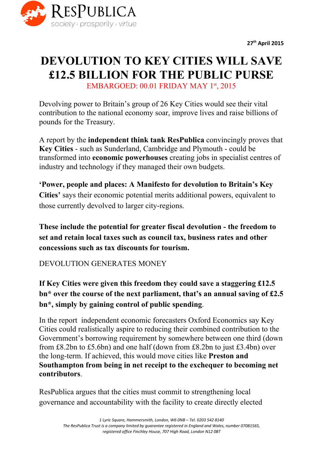

**27thApril 2015**

# **DEVOLUTION TO KEY CITIES WILL SAVE £12.5 BILLION FOR THE PUBLIC PURSE** EMBARGOED: 00.01 FRIDAY MAY 1st, 2015

Devolving power to Britain's group of 26 Key Cities would see their vital contribution to the national economy soar, improve lives and raise billions of pounds for the Treasury.

A report by the **independent think tank ResPublica**convincingly proves that **Key Cities** - such as Sunderland, Cambridge and Plymouth - could be transformed into **economic powerhouses**creating jobs in specialist centres of industry and technology if they managed their own budgets.

**'Power, people and places: A Manifesto for devolution to Britain's Key Cities'** says their economic potential merits additional powers, equivalent to those currently devolved to larger city-regions.

**These include the potential for greater fiscal devolution the freedom to set and retain local taxes such as council tax, business rates and other concessions such as tax discounts for tourism.**

DEVOLUTION GENERATES MONEY

**If Key Cities were given this freedom they could save a staggering £12.5 bn\* over the course of the next parliament, that's an annual saving of £2.5 bn\* , simply by gaining control of public spending**.

In the report independent economic forecasters Oxford Economics say Key Cities could realistically aspire to reducing their combined contribution to the Government's borrowing requirement by somewhere between one third (down from £8.2bn to £5.6bn) and one half (down from £8.2bn to just £3.4bn) over the long-term. If achieved, this would move cities like **Preston and Southampton from being in net receipt to the exchequer to becoming net contributors**.

ResPublica argues that the cities must commit to strengthening local governance and accountability with the facility to create directly elected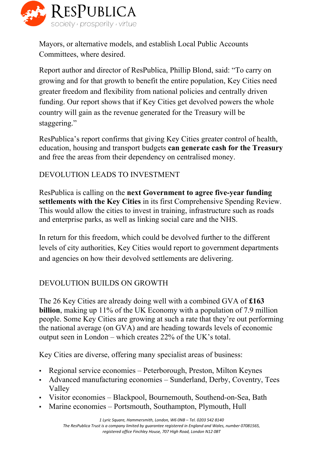

Mayors, or alternative models, and establish Local Public Accounts Committees, where desired.

Report author and director of ResPublica, Phillip Blond, said: "To carry on growing and for that growth to benefit the entire population, Key Cities need greater freedom and flexibility from national policies and centrally driven funding. Our report shows that if Key Cities get devolved powers the whole country will gain as the revenue generated for the Treasury will be staggering."

ResPublica's report confirms that giving Key Cities greater control of health, education, housing and transport budgets **can generate cash for the Treasury** and free the areas from their dependency on centralised money.

## DEVOLUTION LEADS TO INVESTMENT

**ResPublica is calling on the next Government to agree five-vear funding settlements with the Key Cities**in its first Comprehensive Spending Review. This would allow the cities to invest in training, infrastructure such as roads and enterprise parks, as well as linking social care and the NHS.

In return for this freedom, which could be devolved further to the different levels of city authorities, Key Cities would report to government departments and agencies on how their devolved settlements are delivering.

## DEVOLUTION BUILDS ON GROWTH

The 26 Key Cities are already doing well with a combined GVA of **£163 billion**, making up 11% of the UK Economy with a population of 7.9 million people. Some Key Cities are growing at such a rate that they're out performing the national average (on GVA) and are heading towards levels of economic output seen in London – which creates 22% of the UK's total.

Key Cities are diverse, offering many specialist areas of business:

- Regional service economies Peterborough, Preston, Milton Keynes
- Advanced manufacturing economies Sunderland, Derby, Coventry, Tees Valley
- Visitor economies Blackpool, Bournemouth, Southend-on-Sea, Bath
- Marine economies Portsmouth, Southampton, Plymouth, Hull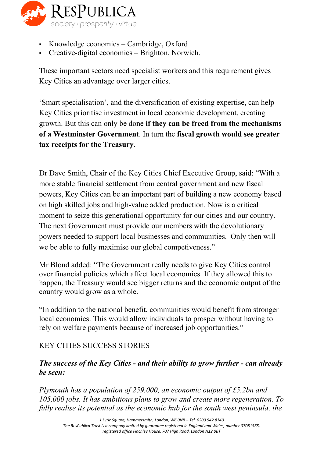

- Knowledge economies Cambridge, Oxford
- Creative-digital economies Brighton, Norwich.

These important sectors need specialist workers and this requirement gives Key Cities an advantage over larger cities.

'Smart specialisation', and the diversification of existing expertise, can help Key Cities prioritise investment in local economic development, creating growth. But this can only be done **if they can be freed from the mechanisms of a Westminster Government**. In turn the **fiscal growth would see greater tax receipts for the Treasury**.

Dr Dave Smith, Chair of the Key Cities Chief Executive Group, said: "With a more stable financial settlement from central government and new fiscal powers, Key Cities can be an important part of building a new economy based on high skilled jobs and high-value added production. Now is a critical moment to seize this generational opportunity for our cities and our country. The next Government must provide our members with the devolutionary powers needed to support local businesses and communities. Only then will we be able to fully maximise our global competiveness."

Mr Blond added: "The Government really needs to give Key Cities control over financial policies which affect local economies. If they allowed this to happen, the Treasury would see bigger returns and the economic output of the country would grow as a whole.

"In addition to the national benefit, communities would benefit from stronger local economies. This would allow individuals to prosper without having to rely on welfare payments because of increased job opportunities."

## KEY CITIES SUCCESS STORIES

### *The success of the Key Cities and their ability to grow further can already be seen:*

*Plymouth has a population of 259,000, an economic output of £5.2bn and 105,000 jobs. It has ambitious plans to grow and create more regeneration. To fully realise its potential as the economic hub for the south west peninsula, the*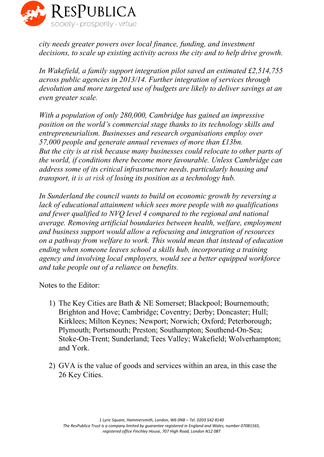

*city needs greater powers over local finance, funding, and investment decisions, to scale up existing activity across the city and to help drive growth.*

*In Wakefield, a family support integration pilot saved an estimated £2,514,755 across public agencies in 2013/14. Further integration of services through devolution and more targeted use of budgets are likely to deliver savings at an even greater scale.*

*With a population of only 280,000, Cambridge has gained an impressive position on the world's commercial stage thanks to its technology skills and entrepreneurialism. Businesses and research organisations employ over 57,000 people and generate annual revenues of more than £13bn. But the city is at risk because many businesses could relocate to other parts of the world, if conditions there become more favourable. Unless Cambridge can address some of its critical infrastructure needs, particularly housing and transport, it is at risk of losing its position as a technology hub.*

*In Sunderland the council wants to build on economic growth by reversing a lack of educational attainment which sees more people with no qualifications and fewer qualified to NVQ level 4 compared to the regional and national average. Removing artificial boundaries between health, welfare, employment and business support would allow a refocusing and integration of resources on a pathway from welfare to work. This would mean that instead of education ending when someone leaves school a skills hub, incorporating a training agency and involving local employers, would see a better equipped workforce and take people out of a reliance on benefits.*

Notes to the Editor:

- 1) The Key Cities are Bath & NE Somerset; Blackpool; Bournemouth; Brighton and Hove; Cambridge; Coventry; Derby; Doncaster; Hull; Kirklees; Milton Keynes; Newport; Norwich; Oxford; Peterborough; Plymouth; Portsmouth; Preston; Southampton; Southend-On-Sea; Stoke-On-Trent; Sunderland; Tees Valley; Wakefield; Wolverhampton; and York.
- 2) GVA is the value of goods and services within an area, in this case the 26 Key Cities.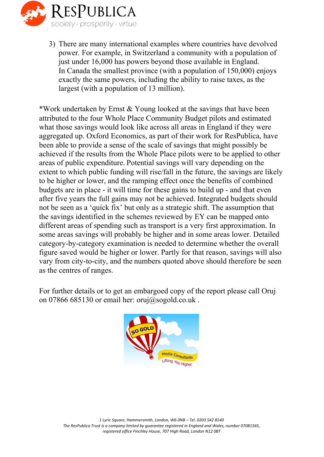

3) There are many international examples where countries have devolved power. For example, in Switzerland a community with a population of just under 16,000 has powers beyond those available in England. In Canada the smallest province (with a population of 150,000) enjoys exactly the same powers, including the ability to raise taxes, as the largest (with a population of 13 million).

\*Work undertaken by Ernst & Young looked at the savings that have been attributed to the four Whole Place Community Budget pilots and estimated what those savings would look like across all areas in England if they were aggregated up. Oxford Economics, as part of their work for ResPublica, have been able to provide a sense of the scale of savings that might possibly be achieved if the results from the Whole Place pilots were to be applied to other areas of public expenditure. Potential savings will vary depending on the extent to which public funding will rise/fall in the future, the savings are likely to be higher or lower, and the ramping effect once the benefits of combined budgets are in place - it will time for these gains to build up - and that even after five years the full gains may not be achieved. Integrated budgets should not be seen as a 'quick fix' but only as a strategic shift. The assumption that the savings identified in the schemes reviewed by EY can be mapped onto different areas of spending such as transport is a very first approximation. In some areas savings will probably be higher and in some areas lower. Detailed category-by-category examination is needed to determine whether the overall figure saved would be higher or lower. Partly for that reason, savings will also vary from city-to-city, and the numbers quoted above should therefore be seen as the centres of ranges.

For further details or to get an embargoed copy of the report please call Oruj on 07866 685130 or email her: oruj@sogold.co.uk.